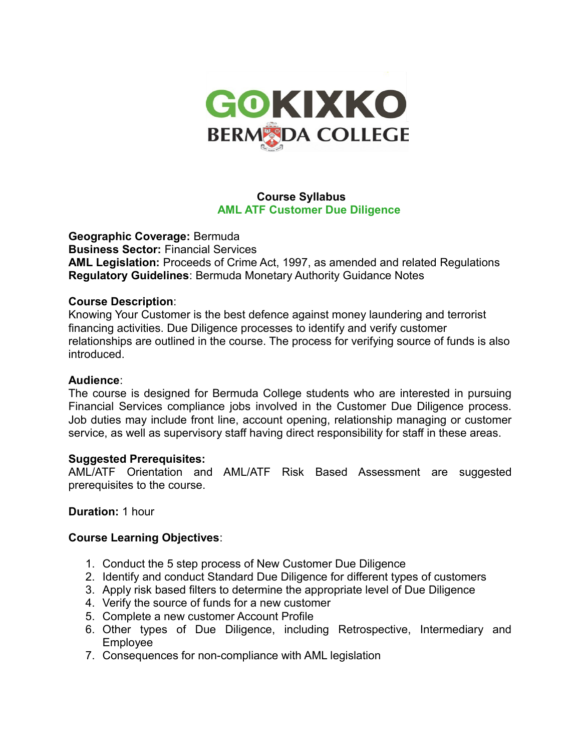

# **Course Syllabus AML ATF Customer Due Diligence**

**Geographic Coverage:** Bermuda **Business Sector:** Financial Services **AML Legislation:** Proceeds of Crime Act, 1997, as amended and related Regulations **Regulatory Guidelines**: Bermuda Monetary Authority Guidance Notes

## **Course Description**:

Knowing Your Customer is the best defence against money laundering and terrorist financing activities. Due Diligence processes to identify and verify customer relationships are outlined in the course. The process for verifying source of funds is also introduced.

#### **Audience**:

The course is designed for Bermuda College students who are interested in pursuing Financial Services compliance jobs involved in the Customer Due Diligence process. Job duties may include front line, account opening, relationship managing or customer service, as well as supervisory staff having direct responsibility for staff in these areas.

## **Suggested Prerequisites:**

AML/ATF Orientation and AML/ATF Risk Based Assessment are suggested prerequisites to the course.

## **Duration:** 1 hour

## **Course Learning Objectives**:

- 1. Conduct the 5 step process of New Customer Due Diligence
- 2. Identify and conduct Standard Due Diligence for different types of customers
- 3. Apply risk based filters to determine the appropriate level of Due Diligence
- 4. Verify the source of funds for a new customer
- 5. Complete a new customer Account Profile
- 6. Other types of Due Diligence, including Retrospective, Intermediary and Employee
- 7. Consequences for non-compliance with AML legislation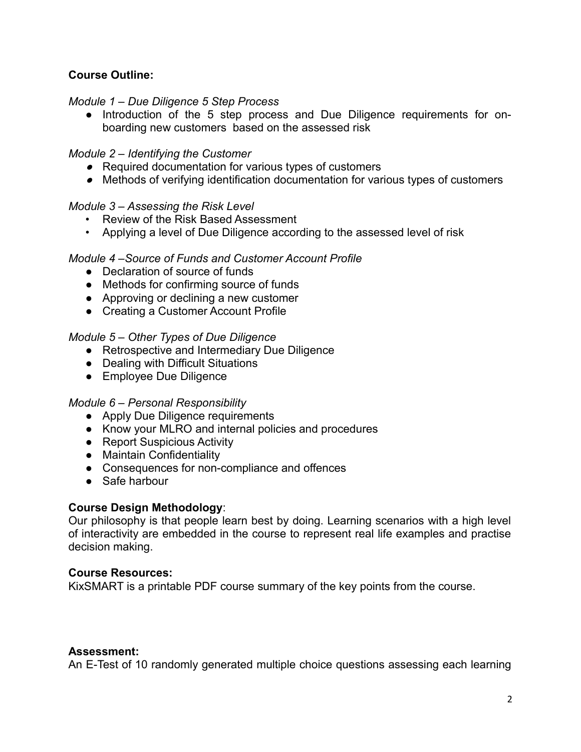# **Course Outline:**

## *Module 1 – Due Diligence 5 Step Process*

● Introduction of the 5 step process and Due Diligence requirements for onboarding new customers based on the assessed risk

## *Module 2 – Identifying the Customer*

- *●* Required documentation for various types of customers
- *●* Methods of verifying identification documentation for various types of customers

### *Module 3 – Assessing the Risk Level*

- Review of the Risk Based Assessment
- Applying a level of Due Diligence according to the assessed level of risk

### *Module 4 –Source of Funds and Customer Account Profile*

- Declaration of source of funds
- Methods for confirming source of funds
- Approving or declining a new customer
- Creating a Customer Account Profile

### *Module 5 – Other Types of Due Diligence*

- Retrospective and Intermediary Due Diligence
- Dealing with Difficult Situations
- Employee Due Diligence

#### *Module 6 – Personal Responsibility*

- Apply Due Diligence requirements
- Know your MLRO and internal policies and procedures
- Report Suspicious Activity
- Maintain Confidentiality
- Consequences for non-compliance and offences
- Safe harbour

## **Course Design Methodology**:

Our philosophy is that people learn best by doing. Learning scenarios with a high level of interactivity are embedded in the course to represent real life examples and practise decision making.

#### **Course Resources:**

KixSMART is a printable PDF course summary of the key points from the course.

## **Assessment:**

An E-Test of 10 randomly generated multiple choice questions assessing each learning